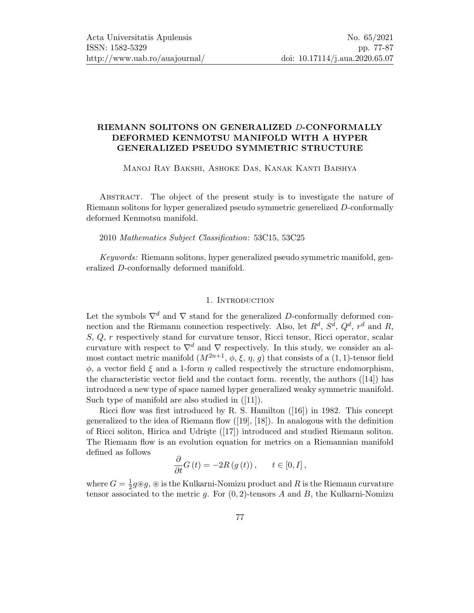## RIEMANN SOLITONS ON GENERALIZED D-CONFORMALLY DEFORMED KENMOTSU MANIFOLD WITH A HYPER GENERALIZED PSEUDO SYMMETRIC STRUCTURE

Manoj Ray Bakshi, Ashoke Das, Kanak Kanti Baishya

Abstract. The object of the present study is to investigate the nature of Riemann solitons for hyper generalized pseudo symmetric generelized D-conformally deformed Kenmotsu manifold.

### 2010 Mathematics Subject Classification: 53C15, 53C25

Keywords: Riemann solitons, hyper generalized pseudo symmetric manifold, generalized D-conformally deformed manifold.

#### 1. INTRODUCTION

Let the symbols  $\nabla^d$  and  $\nabla$  stand for the generalized D-conformally deformed connection and the Riemann connection respectively. Also, let  $R^d$ ,  $S^d$ ,  $Q^d$ ,  $r^d$  and  $R$ , S, Q, r respectively stand for curvature tensor, Ricci tensor, Ricci operator, scalar curvature with respect to  $\nabla^d$  and  $\nabla$  respectively. In this study, we consider an almost contact metric manifold  $(M^{2n+1}, \phi, \xi, \eta, g)$  that consists of a  $(1, 1)$ -tensor field  $\phi$ , a vector field  $\xi$  and a 1-form  $\eta$  called respectively the structure endomorphism, the characteristic vector field and the contact form. recently, the authors ([\[14\]](#page-9-0)) has introduced a new type of space named hyper generalized weaky symmetric manifold. Such type of manifold are also studied in ([\[11\]](#page-9-1)).

Ricci flow was first introduced by R. S. Hamilton ([\[16\]](#page-9-2)) in 1982. This concept generalized to the idea of Riemann flow ([\[19\]](#page-9-3), [\[18\]](#page-9-4)). In analogous with the definition of Ricci soliton, Hirica and Udriste ([\[17\]](#page-9-5)) introduced and studied Riemann soliton. The Riemann flow is an evolution equation for metrics on a Riemannian manifold defined as follows

$$
\frac{\partial}{\partial t}G\left(t\right) = -2R\left(g\left(t\right)\right), \quad t \in [0, I],
$$

where  $G=\frac{1}{2}$  $\frac{1}{2}g$  ®  $g,$  ® is the Kulkarni-Nomizu product and  $R$  is the Riemann curvature tensor associated to the metric  $g$ . For  $(0, 2)$ -tensors  $A$  and  $B$ , the Kulkarni-Nomizu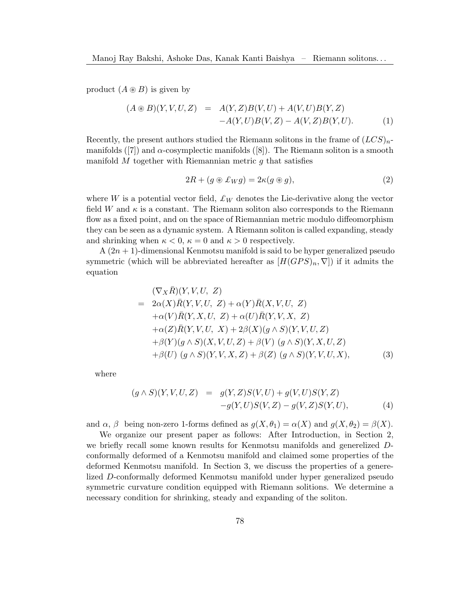product  $(A \otimes B)$  is given by

<span id="page-1-0"></span>
$$
(A \circledast B)(Y, V, U, Z) = A(Y, Z)B(V, U) + A(V, U)B(Y, Z) -A(Y, U)B(V, Z) - A(V, Z)B(Y, U).
$$
 (1)

Recently, the present authors studied the Riemann solitons in the frame of  $(LCS)_{n}$ -manifolds ([\[7\]](#page-9-6)) and  $\alpha$ -cosymplectic manifolds ([\[8\]](#page-9-7)). The Riemann soliton is a smooth manifold  $M$  together with Riemannian metric  $g$  that satisfies

<span id="page-1-1"></span>
$$
2R + (g \circledast \pounds_W g) = 2\kappa (g \circledast g), \tag{2}
$$

where W is a potential vector field,  $\mathcal{L}_W$  denotes the Lie-derivative along the vector field W and  $\kappa$  is a constant. The Riemann soliton also corresponds to the Riemann flow as a fixed point, and on the space of Riemannian metric modulo diffeomorphism they can be seen as a dynamic system. A Riemann soliton is called expanding, steady and shrinking when  $\kappa < 0$ ,  $\kappa = 0$  and  $\kappa > 0$  respectively.

 $A(2n + 1)$ -dimensional Kenmotsu manifold is said to be hyper generalized pseudo symmetric (which will be abbreviated hereafter as  $[H(GPS)_n, \nabla]$ ) if it admits the equation

$$
(\nabla_X \overline{R})(Y, V, U, Z)
$$
  
=  $2\alpha(X)\overline{R}(Y, V, U, Z) + \alpha(Y)\overline{R}(X, V, U, Z)$   
+ $\alpha(V)\overline{R}(Y, X, U, Z) + \alpha(U)\overline{R}(Y, V, X, Z)$   
+ $\alpha(Z)\overline{R}(Y, V, U, X) + 2\beta(X)(g \wedge S)(Y, V, U, Z)$   
+ $\beta(Y)(g \wedge S)(X, V, U, Z) + \beta(V)(g \wedge S)(Y, X, U, Z)$   
+ $\beta(U)(g \wedge S)(Y, V, X, Z) + \beta(Z)(g \wedge S)(Y, V, U, X),$  (3)

where

$$
(g \wedge S)(Y, V, U, Z) = g(Y, Z)S(V, U) + g(V, U)S(Y, Z) -g(Y, U)S(V, Z) - g(V, Z)S(Y, U),
$$
(4)

and  $\alpha$ ,  $\beta$  being non-zero 1-forms defined as  $g(X, \theta_1) = \alpha(X)$  and  $g(X, \theta_2) = \beta(X)$ .

We organize our present paper as follows: After Introduction, in Section 2, we briefly recall some known results for Kenmotsu manifolds and generelized Dconformally deformed of a Kenmotsu manifold and claimed some properties of the deformed Kenmotsu manifold. In Section 3, we discuss the properties of a generelized D-conformally deformed Kenmotsu manifold under hyper generalized pseudo symmetric curvature condition equipped with Riemann solitions. We determine a necessary condition for shrinking, steady and expanding of the soliton.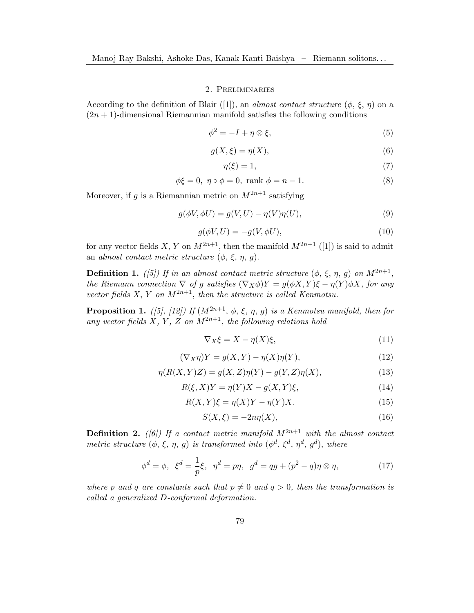### 2. Preliminaries

According to the definition of Blair ([\[1\]](#page-8-0)), an almost contact structure  $(\phi, \xi, \eta)$  on a  $(2n + 1)$ -dimensional Riemannian manifold satisfies the following conditions

$$
\phi^2 = -I + \eta \otimes \xi,\tag{5}
$$

$$
g(X,\xi) = \eta(X),\tag{6}
$$

$$
\eta(\xi) = 1,\tag{7}
$$

$$
\phi \xi = 0, \ \eta \circ \phi = 0, \text{ rank } \phi = n - 1. \tag{8}
$$

Moreover, if g is a Riemannian metric on  $M^{2n+1}$  satisfying

$$
g(\phi V, \phi U) = g(V, U) - \eta(V)\eta(U),\tag{9}
$$

$$
g(\phi V, U) = -g(V, \phi U),\tag{10}
$$

for any vector fields X, Y on  $M^{2n+1}$ , then the manifold  $M^{2n+1}$  ([\[1\]](#page-8-0)) is said to admit an almost contact metric structure  $(\phi, \xi, \eta, q)$ .

**Definition 1.** ([\[5\]](#page-9-8)) If in an almost contact metric structure  $(\phi, \xi, \eta, g)$  on  $M^{2n+1}$ , the Riemann connection  $\nabla$  of g satisfies  $(\nabla_X \phi)Y = g(\phi X, Y)\xi - \eta(Y)\phi X$ , for any vector fields X, Y on  $M^{2n+1}$ , then the structure is called Kenmotsu.

**Proposition 1.** ([\[5\]](#page-9-8), [\[12\]](#page-9-9)) If  $(M^{2n+1}, \phi, \xi, \eta, q)$  is a Kenmotsu manifold, then for any vector fields X, Y, Z on  $M^{2n+1}$ , the following relations hold

$$
\nabla_X \xi = X - \eta(X)\xi,\tag{11}
$$

$$
(\nabla_X \eta)Y = g(X, Y) - \eta(X)\eta(Y),\tag{12}
$$

$$
\eta(R(X,Y)Z) = g(X,Z)\eta(Y) - g(Y,Z)\eta(X),\tag{13}
$$

$$
R(\xi, X)Y = \eta(Y)X - g(X, Y)\xi,
$$
\n(14)

$$
R(X,Y)\xi = \eta(X)Y - \eta(Y)X.
$$
\n(15)

$$
S(X,\xi) = -2n\eta(X),\tag{16}
$$

**Definition 2.** (6) If a contact metric manifold  $M^{2n+1}$  with the almost contact metric structure  $(\phi, \xi, \eta, g)$  is transformed into  $(\phi^d, \xi^d, \eta^d, g^d)$ , where

<span id="page-2-0"></span>
$$
\phi^d = \phi, \ \xi^d = \frac{1}{p}\xi, \ \eta^d = p\eta, \ \ g^d = qg + (p^2 - q)\eta \otimes \eta,\tag{17}
$$

where p and q are constants such that  $p \neq 0$  and  $q > 0$ , then the transformation is called a generalized D-conformal deformation.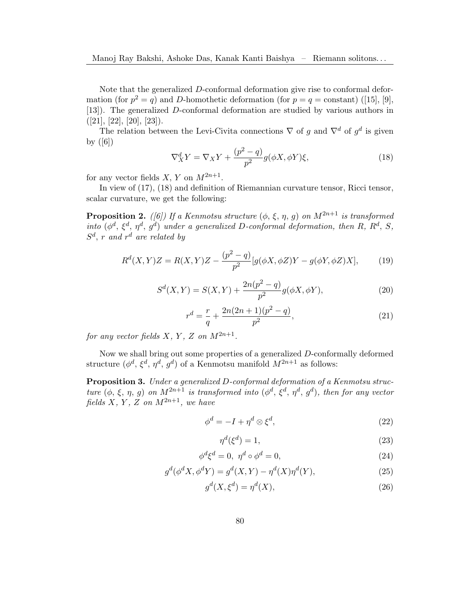Note that the generalized  $D$ -conformal deformation give rise to conformal deformation (for  $p^2 = q$ ) and D-homothetic deformation (for  $p = q = \text{constant}$ ) ([\[15\]](#page-9-11), [\[9\]](#page-9-12), [\[13\]](#page-9-13)). The generalized D-conformal deformation are studied by various authors in  $([21], [22], [20], [23]).$  $([21], [22], [20], [23]).$  $([21], [22], [20], [23]).$  $([21], [22], [20], [23]).$  $([21], [22], [20], [23]).$  $([21], [22], [20], [23]).$  $([21], [22], [20], [23]).$  $([21], [22], [20], [23]).$  $([21], [22], [20], [23]).$ 

The relation between the Levi-Civita connections  $\nabla$  of g and  $\nabla^d$  of  $g^d$  is given by  $([6])$  $([6])$  $([6])$ 

<span id="page-3-0"></span>
$$
\nabla_X^d Y = \nabla_X Y + \frac{(p^2 - q)}{p^2} g(\phi X, \phi Y)\xi,
$$
\n(18)

for any vector fields  $X, Y$  on  $M^{2n+1}$ .

In view of [\(17\)](#page-2-0), [\(18\)](#page-3-0) and definition of Riemannian curvature tensor, Ricci tensor, scalar curvature, we get the following:

**Proposition 2.** ([\[6\]](#page-9-10)) If a Kenmotsu structure  $(\phi, \xi, \eta, g)$  on  $M^{2n+1}$  is transformed into  $(\phi^d, \xi^d, \eta^d, g^d)$  under a generalized D-conformal deformation, then R, R<sup>d</sup>, S,  $S^d$ , r and r<sup>d</sup> are related by

$$
R^{d}(X,Y)Z = R(X,Y)Z - \frac{(p^{2}-q)}{p^{2}}[g(\phi X, \phi Z)Y - g(\phi Y, \phi Z)X],
$$
 (19)

$$
S^{d}(X,Y) = S(X,Y) + \frac{2n(p^{2} - q)}{p^{2}}g(\phi X, \phi Y),
$$
\n(20)

$$
r^{d} = \frac{r}{q} + \frac{2n(2n+1)(p^{2} - q)}{p^{2}},
$$
\n(21)

for any vector fields X, Y, Z on  $M^{2n+1}$ .

Now we shall bring out some properties of a generalized D-conformally deformed structure  $(\phi^d, \xi^d, \eta^d, g^d)$  of a Kenmotsu manifold  $M^{2n+1}$  as follows:

Proposition 3. Under a generalized D-conformal deformation of a Kenmotsu structure  $(\phi, \xi, \eta, g)$  on  $M^{2n+1}$  is transformed into  $(\phi^d, \xi^d, \eta^d, g^d)$ , then for any vector fields X, Y, Z on  $M^{2n+1}$ , we have

$$
\phi^d = -I + \eta^d \otimes \xi^d,\tag{22}
$$

$$
\eta^d(\xi^d) = 1,\tag{23}
$$

$$
\phi^d \xi^d = 0, \ \eta^d \circ \phi^d = 0,\tag{24}
$$

$$
g^d(\phi^d X, \phi^d Y) = g^d(X, Y) - \eta^d(X)\eta^d(Y),\tag{25}
$$

$$
g^d(X, \xi^d) = \eta^d(X),\tag{26}
$$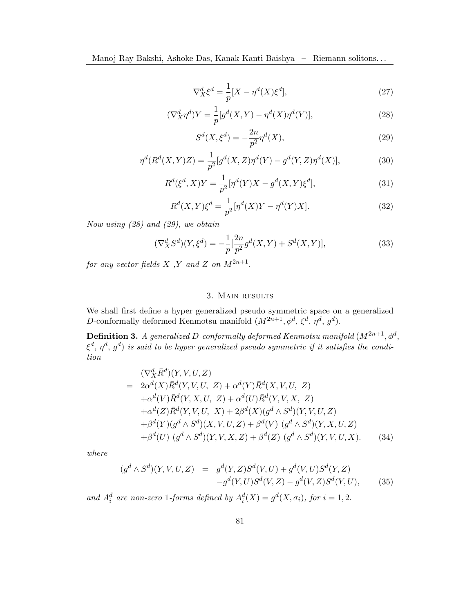$$
\nabla_X^d \xi^d = \frac{1}{p} [X - \eta^d(X)\xi^d],\tag{27}
$$

<span id="page-4-0"></span>
$$
(\nabla_X^d \eta^d) Y = \frac{1}{p} [g^d(X, Y) - \eta^d(X)\eta^d(Y)],\tag{28}
$$

<span id="page-4-1"></span>
$$
S^{d}(X,\xi^{d}) = -\frac{2n}{p^{2}}\eta^{d}(X),
$$
\n(29)

$$
\eta^{d}(R^{d}(X,Y)Z) = \frac{1}{p^2} [g^d(X,Z)\eta^d(Y) - g^d(Y,Z)\eta^d(X)],
$$
\n(30)

<span id="page-4-4"></span>
$$
R^{d}(\xi^{d}, X)Y = \frac{1}{p^{2}}[\eta^{d}(Y)X - g^{d}(X, Y)\xi^{d}],
$$
\n(31)

<span id="page-4-5"></span>
$$
R^{d}(X,Y)\xi^{d} = \frac{1}{p^{2}}[\eta^{d}(X)Y - \eta^{d}(Y)X].
$$
\n(32)

Now using [\(28\)](#page-4-0) and [\(29\)](#page-4-1), we obtain

<span id="page-4-6"></span>
$$
(\nabla_X^d S^d)(Y, \xi^d) = -\frac{1}{p} \left[ \frac{2n}{p^2} g^d(X, Y) + S^d(X, Y) \right],\tag{33}
$$

for any vector fields X, Y and Z on  $M^{2n+1}$ .

## 3. Main results

We shall first define a hyper generalized pseudo symmetric space on a generalized D-conformally deformed Kenmotsu manifold  $(M^{2n+1}, \phi^d, \xi^d, \eta^d, g^d)$ .

**Definition 3.** A generalized D-conformally deformed Kenmotsu manifold  $(M^{2n+1},\phi^d,$  $\xi^d, \eta^d, g^d)$  is said to be hyper generalized pseudo symmetric if it satisfies the condition

<span id="page-4-3"></span>
$$
(\nabla_X^d \bar{R}^d)(Y, V, U, Z)
$$
  
=  $2\alpha^d(X)\bar{R}^d(Y, V, U, Z) + \alpha^d(Y)\bar{R}^d(X, V, U, Z)$   
+ $\alpha^d(V)\bar{R}^d(Y, X, U, Z) + \alpha^d(U)\bar{R}^d(Y, V, X, Z)$   
+ $\alpha^d(Z)\bar{R}^d(Y, V, U, X) + 2\beta^d(X)(g^d \wedge S^d)(Y, V, U, Z)$   
+ $\beta^d(Y)(g^d \wedge S^d)(X, V, U, Z) + \beta^d(V)(g^d \wedge S^d)(Y, X, U, Z)$   
+ $\beta^d(U)(g^d \wedge S^d)(Y, V, X, Z) + \beta^d(Z)(g^d \wedge S^d)(Y, V, U, X). (34)$ 

where

<span id="page-4-2"></span>
$$
(g^{d} \wedge S^{d})(Y, V, U, Z) = g^{d}(Y, Z)S^{d}(V, U) + g^{d}(V, U)S^{d}(Y, Z) -g^{d}(Y, U)S^{d}(V, Z) - g^{d}(V, Z)S^{d}(Y, U),
$$
(35)

and  $A_i^d$  are non-zero 1-forms defined by  $A_i^d(X) = g^d(X, \sigma_i)$ , for  $i = 1, 2$ .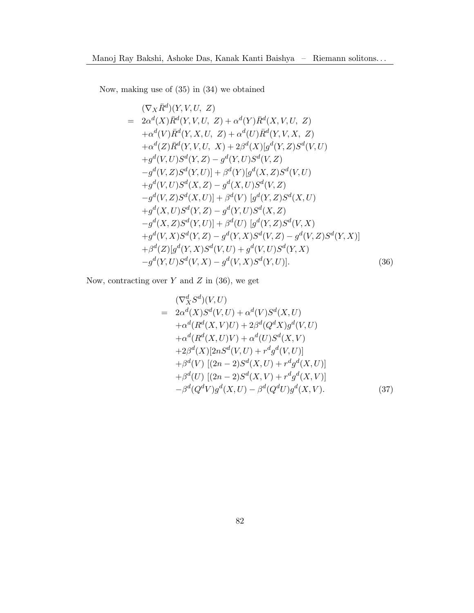Now, making use of [\(35\)](#page-4-2) in [\(34\)](#page-4-3) we obtained

<span id="page-5-0"></span>
$$
(\nabla_{X}\bar{R}^{d})(Y,V,U,Z)
$$
\n
$$
= 2\alpha^{d}(X)\bar{R}^{d}(Y,V,U,Z) + \alpha^{d}(Y)\bar{R}^{d}(X,V,U,Z)
$$
\n
$$
+ \alpha^{d}(V)\bar{R}^{d}(Y,X,U,Z) + \alpha^{d}(U)\bar{R}^{d}(Y,V,X,Z)
$$
\n
$$
+ \alpha^{d}(Z)\bar{R}^{d}(Y,V,U,X) + 2\beta^{d}(X)[g^{d}(Y,Z)S^{d}(V,U)
$$
\n
$$
+ g^{d}(V,U)S^{d}(Y,Z) - g^{d}(Y,U)S^{d}(V,Z)
$$
\n
$$
- g^{d}(V,Z)S^{d}(Y,U)] + \beta^{d}(Y)[g^{d}(X,Z)S^{d}(V,U)
$$
\n
$$
+ g^{d}(V,U)S^{d}(X,Z) - g^{d}(X,U)S^{d}(V,Z)
$$
\n
$$
- g^{d}(V,Z)S^{d}(X,U)] + \beta^{d}(V)[g^{d}(Y,Z)S^{d}(X,U)
$$
\n
$$
+ g^{d}(X,U)S^{d}(Y,Z) - g^{d}(Y,U)S^{d}(X,Z)
$$
\n
$$
- g^{d}(X,Z)S^{d}(Y,U)] + \beta^{d}(U)[g^{d}(Y,Z)S^{d}(V,X)
$$
\n
$$
+ g^{d}(V,X)S^{d}(Y,Z) - g^{d}(Y,X)S^{d}(V,Z) - g^{d}(V,Z)S^{d}(Y,X)]
$$
\n
$$
+ \beta^{d}(Z)[g^{d}(Y,X)S^{d}(V,U) + g^{d}(V,U)S^{d}(Y,X)
$$
\n
$$
- g^{d}(Y,U)S^{d}(V,X) - g^{d}(V,X)S^{d}(Y,U)].
$$
\n(36)

Now, contracting over  $Y$  and  $Z$  in [\(36\)](#page-5-0), we get

$$
(\nabla_X^d S^d)(V, U) \n= 2\alpha^d(X)S^d(V, U) + \alpha^d(V)S^d(X, U) \n+ \alpha^d(R^d(X, V)U) + 2\beta^d(Q^dX)g^d(V, U) \n+ \alpha^d(R^d(X, U)V) + \alpha^d(U)S^d(X, V) \n+ 2\beta^d(X)[2nS^d(V, U) + r^d g^d(V, U)] \n+ \beta^d(V) [(2n - 2)S^d(X, U) + r^d g^d(X, U)] \n+ \beta^d(U) [(2n - 2)S^d(X, V) + r^d g^d(X, V)] \n- \beta^d(Q^dV)g^d(X, U) - \beta^d(Q^dU)g^d(X, V).
$$
\n(37)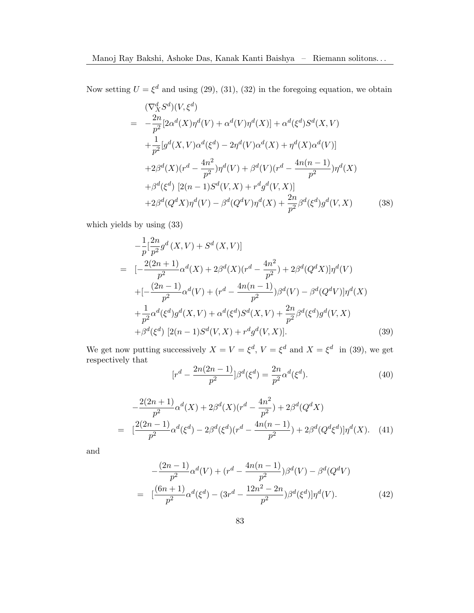Now setting  $U = \xi^d$  and using [\(29\)](#page-4-1), [\(31\)](#page-4-4), [\(32\)](#page-4-5) in the foregoing equation, we obtain

$$
(\nabla_X^d S^d)(V, \xi^d)
$$
  
=  $-\frac{2n}{p^2} [2\alpha^d(X)\eta^d(V) + \alpha^d(V)\eta^d(X)] + \alpha^d(\xi^d)S^d(X, V)$   
+  $\frac{1}{p^2} [g^d(X, V)\alpha^d(\xi^d) - 2\eta^d(V)\alpha^d(X) + \eta^d(X)\alpha^d(V)]$   
+  $2\beta^d(X)(r^d - \frac{4n^2}{p^2})\eta^d(V) + \beta^d(V)(r^d - \frac{4n(n-1)}{p^2})\eta^d(X)$   
+  $\beta^d(\xi^d) [2(n-1)S^d(V, X) + r^d g^d(V, X)]$   
+  $2\beta^d(Q^dX)\eta^d(V) - \beta^d(Q^dV)\eta^d(X) + \frac{2n}{p^2}\beta^d(\xi^d)g^d(V, X)$  (38)

which yields by using [\(33\)](#page-4-6)

<span id="page-6-0"></span>
$$
-\frac{1}{p} \left[\frac{2n}{p^2} g^d(X, V) + S^d(X, V)\right]
$$
  
= 
$$
\left[-\frac{2(2n+1)}{p^2} \alpha^d(X) + 2\beta^d(X)(r^d - \frac{4n^2}{p^2}) + 2\beta^d(Q^d X) \right] \eta^d(V)
$$
  
+
$$
\left[-\frac{(2n-1)}{p^2} \alpha^d(V) + (r^d - \frac{4n(n-1)}{p^2}) \beta^d(V) - \beta^d(Q^d V) \right] \eta^d(X)
$$
  
+
$$
\frac{1}{p^2} \alpha^d(\xi^d) g^d(X, V) + \alpha^d(\xi^d) S^d(X, V) + \frac{2n}{p^2} \beta^d(\xi^d) g^d(V, X)
$$
  
+
$$
\beta^d(\xi^d) [2(n-1) S^d(V, X) + r^d g^d(V, X)].
$$
(39)

We get now putting successively  $X = V = \xi^d$ ,  $V = \xi^d$  and  $X = \xi^d$  in [\(39\)](#page-6-0), we get respectively that

<span id="page-6-1"></span>
$$
[r^d - \frac{2n(2n-1)}{p^2}] \beta^d(\xi^d) = \frac{2n}{p^2} \alpha^d(\xi^d). \tag{40}
$$

<span id="page-6-2"></span>
$$
-\frac{2(2n+1)}{p^2}\alpha^d(X) + 2\beta^d(X)(r^d - \frac{4n^2}{p^2}) + 2\beta^d(Q^d X)
$$
  
= 
$$
[\frac{2(2n-1)}{p^2}\alpha^d(\xi^d) - 2\beta^d(\xi^d)(r^d - \frac{4n(n-1)}{p^2}) + 2\beta^d(Q^d\xi^d)]\eta^d(X).
$$
 (41)

and

<span id="page-6-3"></span>
$$
-\frac{(2n-1)}{p^2}\alpha^d(V) + (r^d - \frac{4n(n-1)}{p^2})\beta^d(V) - \beta^d(Q^d V)
$$
  
= 
$$
[\frac{(6n+1)}{p^2}\alpha^d(\xi^d) - (3r^d - \frac{12n^2 - 2n}{p^2})\beta^d(\xi^d)]\eta^d(V).
$$
 (42)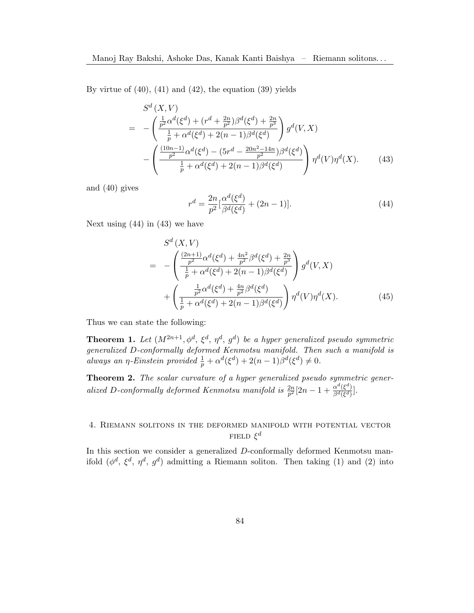By virtue of  $(40)$ ,  $(41)$  and  $(42)$ , the equation  $(39)$  yields

<span id="page-7-1"></span>
$$
S^{d}(X,V)
$$
\n
$$
= -\left(\frac{\frac{1}{p^{2}}\alpha^{d}(\xi^{d}) + (r^{d} + \frac{2n}{p^{2}})\beta^{d}(\xi^{d}) + \frac{2n}{p^{3}}}{\frac{1}{p} + \alpha^{d}(\xi^{d}) + 2(n - 1)\beta^{d}(\xi^{d})}\right)g^{d}(V,X)
$$
\n
$$
- \left(\frac{\frac{(10n - 1)}{p^{2}}\alpha^{d}(\xi^{d}) - (5r^{d} - \frac{20n^{2} - 14n}{p^{2}})\beta^{d}(\xi^{d})}{\frac{1}{p} + \alpha^{d}(\xi^{d}) + 2(n - 1)\beta^{d}(\xi^{d})}\right)\eta^{d}(V)\eta^{d}(X). \tag{43}
$$

and [\(40\)](#page-6-1) gives

<span id="page-7-0"></span>
$$
r^{d} = \frac{2n}{p^{2}} \left[ \frac{\alpha^{d}(\xi^{d})}{\beta^{d}(\xi^{d})} + (2n - 1) \right].
$$
 (44)

Next using [\(44\)](#page-7-0) in [\(43\)](#page-7-1) we have

$$
S^{d}(X,V)
$$
\n
$$
= -\left(\frac{\frac{(2n+1)}{p^2}\alpha^d(\xi^d) + \frac{4n^2}{p^2}\beta^d(\xi^d) + \frac{2n}{p^3}}{\frac{1}{p} + \alpha^d(\xi^d) + 2(n-1)\beta^d(\xi^d)}\right)g^{d}(V,X)
$$
\n
$$
+ \left(\frac{\frac{1}{p^2}\alpha^d(\xi^d) + \frac{4n}{p^2}\beta^d(\xi^d)}{\frac{1}{p} + \alpha^d(\xi^d) + 2(n-1)\beta^d(\xi^d)}\right)\eta^d(V)\eta^d(X). \tag{45}
$$

Thus we can state the following:

**Theorem 1.** Let  $(M^{2n+1}, \phi^d, \xi^d, \eta^d, g^d)$  be a hyper generalized pseudo symmetric generalized D-conformally deformed Kenmotsu manifold. Then such a manifold is always an  $\eta$ -Einstein provided  $\frac{1}{p} + \alpha^d(\xi^d) + 2(n-1)\beta^d(\xi^d) \neq 0$ .

Theorem 2. The scalar curvature of a hyper generalized pseudo symmetric generalized D-conformally deformed Kenmotsu manifold is  $\frac{2n}{p^2} [2n-1+\frac{\alpha^d(\xi^d)}{\beta^d(\xi^d)}]$  $\frac{\alpha^{\infty}(\xi^{\infty})}{\beta^d(\xi^d)}$ .

# 4. Riemann solitons in the deformed manifold with potential vector FIELD  $\xi^d$

In this section we consider a generalized D-conformally deformed Kenmotsu manifold  $(\phi^d, \xi^d, \eta^d, g^d)$  admitting a Riemann soliton. Then taking [\(1\)](#page-1-0) and [\(2\)](#page-1-1) into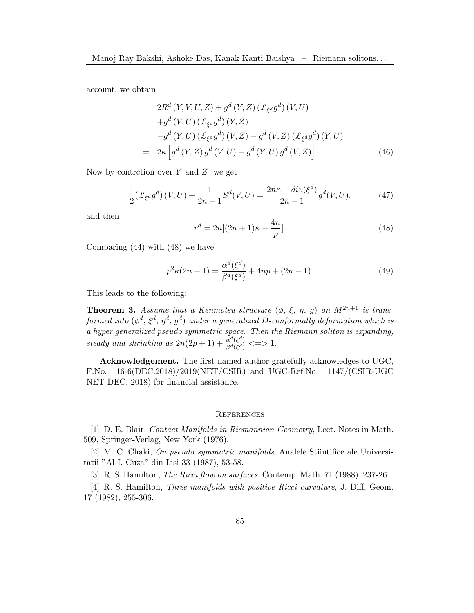account, we obtain

$$
2R^{d}(Y, V, U, Z) + g^{d}(Y, Z) (\mathcal{L}_{\xi^{d}} g^{d})(V, U)
$$
  
+ $g^{d}(V, U) (\mathcal{L}_{\xi^{d}} g^{d})(Y, Z)$   

$$
-g^{d}(Y, U) (\mathcal{L}_{\xi^{d}} g^{d})(V, Z) - g^{d}(V, Z) (\mathcal{L}_{\xi^{d}} g^{d})(Y, U)
$$
  
=  $2\kappa \left[ g^{d}(Y, Z) g^{d}(V, U) - g^{d}(Y, U) g^{d}(V, Z) \right].$  (46)

Now by contrction over  $Y$  and  $Z$  we get

$$
\frac{1}{2}(\mathcal{L}_{\xi^d}g^d)(V,U) + \frac{1}{2n-1}S^d(V,U) = \frac{2n\kappa - div(\xi^d)}{2n-1}g^d(V,U). \tag{47}
$$

and then

<span id="page-8-1"></span>
$$
r^{d} = 2n[(2n+1)\kappa - \frac{4n}{p}].
$$
\n(48)

Comparing [\(44\)](#page-7-0) with [\(48\)](#page-8-1) we have

$$
p^{2}\kappa(2n+1) = \frac{\alpha^{d}(\xi^{d})}{\beta^{d}(\xi^{d})} + 4np + (2n - 1).
$$
 (49)

This leads to the following:

**Theorem 3.** Assume that a Kenmotsu structure  $(\phi, \xi, \eta, g)$  on  $M^{2n+1}$  is transformed into  $(\phi^d, \xi^d, \eta^d, g^d)$  under a generalized D-conformally deformation which is a hyper generalized pseudo symmetric space. Then the Riemann soliton is expanding, steady and shrinking as  $2n(2p+1) + \frac{\alpha^d(\xi^d)}{\beta^d(\xi^d)}$  $\frac{\alpha^{\alpha}(\xi^{\alpha})}{\beta^d(\xi^d)} \leq 1$ .

Acknowledgement. The first named author gratefully acknowledges to UGC, F.No. 16-6(DEC.2018)/2019(NET/CSIR) and UGC-Ref.No. 1147/(CSIR-UGC NET DEC. 2018) for financial assistance.

#### **REFERENCES**

<span id="page-8-0"></span>[1] D. E. Blair, Contact Manifolds in Riemannian Geometry, Lect. Notes in Math. 509, Springer-Verlag, New York (1976).

[2] M. C. Chaki, On pseudo symmetric manifolds, Analele Stiintifice ale Universitatii "Al I. Cuza" din Iasi 33 (1987), 53-58.

[3] R. S. Hamilton, The Ricci flow on surfaces, Contemp. Math. 71 (1988), 237-261.

[4] R. S. Hamilton, Three-manifolds with positive Ricci curvature, J. Diff. Geom. 17 (1982), 255-306.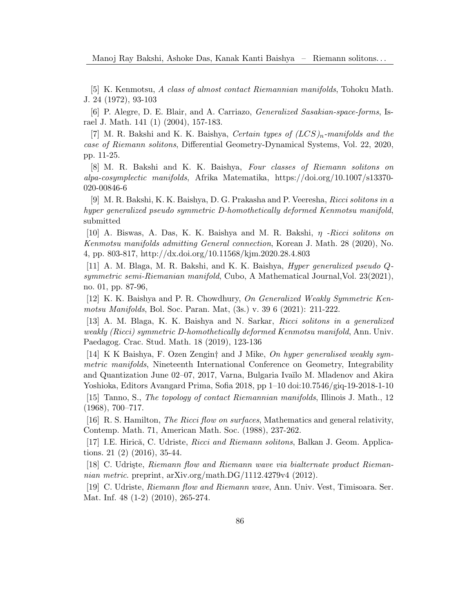<span id="page-9-8"></span>[5] K. Kenmotsu, A class of almost contact Riemannian manifolds, Tohoku Math. J. 24 (1972), 93-103

<span id="page-9-10"></span>[6] P. Alegre, D. E. Blair, and A. Carriazo, Generalized Sasakian-space-forms, Israel J. Math. 141 (1) (2004), 157-183.

<span id="page-9-6"></span>[7] M. R. Bakshi and K. K. Baishya, Certain types of  $(LCS)_n$ -manifolds and the case of Riemann solitons, Differential Geometry-Dynamical Systems, Vol. 22, 2020, pp. 11-25.

<span id="page-9-7"></span>[8] M. R. Bakshi and K. K. Baishya, Four classes of Riemann solitons on alpa-cosymplectic manifolds, Afrika Matematika, https://doi.org/10.1007/s13370- 020-00846-6

<span id="page-9-12"></span>[9] M. R. Bakshi, K. K. Baishya, D. G. Prakasha and P. Veeresha, Ricci solitons in a hyper generalized pseudo symmetric D-homothetically deformed Kenmotsu manifold, submitted

[10] A. Biswas, A. Das, K. K. Baishya and M. R. Bakshi, η -Ricci solitons on Kenmotsu manifolds admitting General connection, Korean J. Math. 28 (2020), No. 4, pp. 803-817, http://dx.doi.org/10.11568/kjm.2020.28.4.803

<span id="page-9-1"></span>[11] A. M. Blaga, M. R. Bakshi, and K. K. Baishya, Hyper generalized pseudo Qsymmetric semi-Riemanian manifold, Cubo, A Mathematical Journal,Vol. 23(2021), no. 01, pp. 87-96,

<span id="page-9-9"></span>[12] K. K. Baishya and P. R. Chowdhury, On Generalized Weakly Symmetric Kenmotsu Manifolds, Bol. Soc. Paran. Mat, (3s.) v. 39 6 (2021): 211-222.

<span id="page-9-13"></span>[13] A. M. Blaga, K. K. Baishya and N. Sarkar, Ricci solitons in a generalized weakly (Ricci) symmetric D-homothetically deformed Kenmotsu manifold, Ann. Univ. Paedagog. Crac. Stud. Math. 18 (2019), 123-136

<span id="page-9-0"></span>[14] K K Baishya, F. Ozen Zengin† and J Mike, On hyper generalised weakly symmetric manifolds, Nineteenth International Conference on Geometry, Integrability and Quantization June 02–07, 2017, Varna, Bulgaria Ivaïlo M. Mladenov and Akira Yoshioka, Editors Avangard Prima, Sofia 2018, pp 1–10 doi:10.7546/giq-19-2018-1-10

<span id="page-9-11"></span>[15] Tanno, S., The topology of contact Riemannian manifolds, Illinois J. Math., 12 (1968), 700–717.

<span id="page-9-2"></span>[16] R. S. Hamilton, The Ricci flow on surfaces, Mathematics and general relativity, Contemp. Math. 71, American Math. Soc. (1988), 237-262.

<span id="page-9-5"></span>[17] I.E. Hirică, C. Udriste, Ricci and Riemann solitons, Balkan J. Geom. Applications. 21 (2) (2016), 35-44.

<span id="page-9-4"></span>[18] C. Udriste, Riemann flow and Riemann wave via bialternate product Riemannian metric. preprint,  $arXiv.org/math.DG/1112.4279v4$  (2012).

<span id="page-9-3"></span>[19] C. Udriste, Riemann flow and Riemann wave, Ann. Univ. Vest, Timisoara. Ser. Mat. Inf. 48 (1-2) (2010), 265-274.